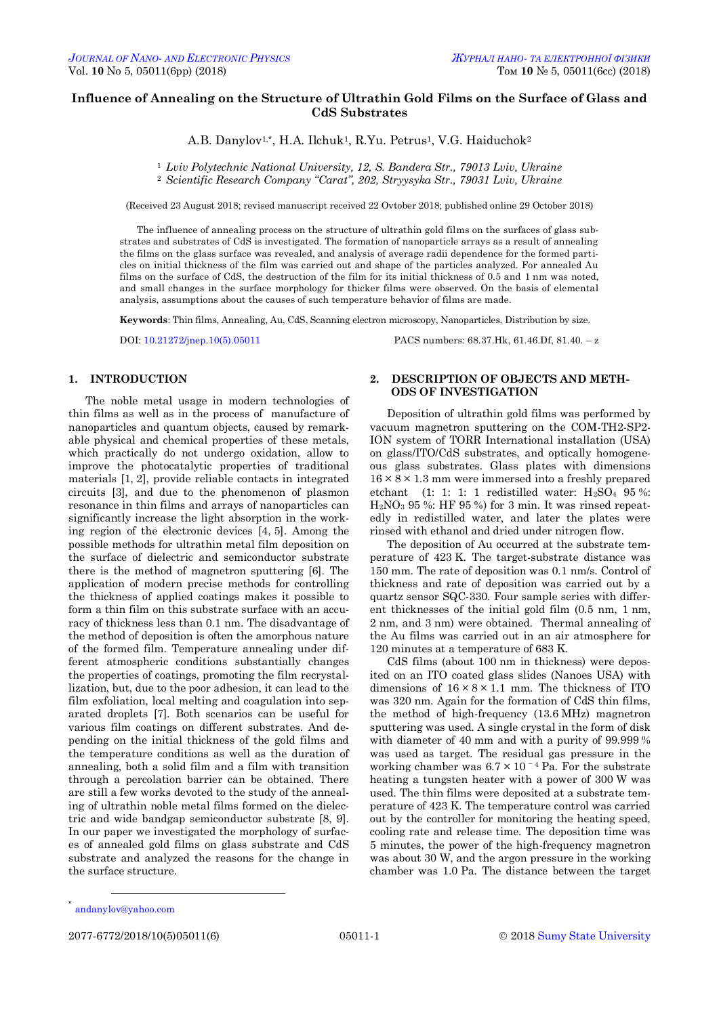# **Influence of Annealing on the Structure of Ultrathin Gold Films on the Surface of Glass and CdS Substrates**

A.B. Danylov<sup>1,\*</sup>, H.A. Ilchuk<sup>1</sup>, R.Yu. Petrus<sup>1</sup>, V.G. Haiduchok<sup>2</sup>

<sup>1</sup> *Lviv Polytechnic National University, 12, S. Bandera Str., 79013 Lviv, Ukraine*

<sup>2</sup> *Scientific Research Company "Carat", 202, Stryysyka Str., 79031 Lviv, Ukraine*

(Received 23 August 2018; revised manuscript received 22 Ovtober 2018; published online 29 October 2018)

The influence of annealing process on the structure of ultrathin gold films on the surfaces of glass substrates and substrates of CdS is investigated. The formation of nanoparticle arrays as a result of annealing the films on the glass surface was revealed, and analysis of average radii dependence for the formed particles on initial thickness of the film was carried out and shape of the particles analyzed. For annealed Au films on the surface of CdS, the destruction of the film for its initial thickness of 0.5 and 1 nm was noted, and small changes in the surface morphology for thicker films were observed. On the basis of elemental analysis, assumptions about the causes of such temperature behavior of films are made.

**Keywords**: Thin films, Annealing, Au, CdS, Scanning electron microscopy, Nanoparticles, Distribution by size.

DOI: [10.21272/jnep.10\(5\).05011](https://doi.org/10.21272/jnep.10(5).05011) PACS numbers: 68.37.Hk, 61.46.Df, 81.40. – z

#### **1. INTRODUCTION**

The noble metal usage in modern technologies of thin films as well as in the process of manufacture of nanoparticles and quantum objects, caused by remarkable physical and chemical properties of these metals, which practically do not undergo oxidation, allow to improve the photocatalytic properties of traditional materials [1, 2], provide reliable contacts in integrated circuits [3], and due to the phenomenon of plasmon resonance in thin films and arrays of nanoparticles can significantly increase the light absorption in the working region of the electronic devices [4, 5]. Among the possible methods for ultrathin metal film deposition on the surface of dielectric and semiconductor substrate there is the method of magnetron sputtering [6]. The application of modern precise methods for controlling the thickness of applied coatings makes it possible to form a thin film on this substrate surface with an accuracy of thickness less than 0.1 nm. The disadvantage of the method of deposition is often the amorphous nature of the formed film. Temperature annealing under different atmospheric conditions substantially changes the properties of coatings, promoting the film recrystallization, but, due to the poor adhesion, it can lead to the film exfoliation, local melting and coagulation into separated droplets [7]. Both scenarios can be useful for various film coatings on different substrates. And depending on the initial thickness of the gold films and the temperature conditions as well as the duration of annealing, both a solid film and a film with transition through a percolation barrier can be obtained. There are still a few works devoted to the study of the annealing of ultrathin noble metal films formed on the dielectric and wide bandgap semiconductor substrate [8, 9]. In our paper we investigated the morphology of surfaces of annealed gold films on glass substrate and CdS substrate and analyzed the reasons for the change in the surface structure.

### **2. DESCRIPTION OF OBJECTS AND METH-ODS OF INVESTIGATION**

Deposition of ultrathin gold films was performed by vacuum magnetron sputtering on the COM-TH2-SP2- ION system of TORR International installation (USA) on glass/ITO/CdS substrates, and optically homogeneous glass substrates. Glass plates with dimensions  $16 \times 8 \times 1.3$  mm were immersed into a freshly prepared etchant (1: 1: 1: 1 redistilled water:  $H_2SO_4$  95%:  $H<sub>2</sub>NO<sub>3</sub>$  95 %: HF 95 %) for 3 min. It was rinsed repeatedly in redistilled water, and later the plates were rinsed with ethanol and dried under nitrogen flow.

The deposition of Au occurred at the substrate temperature of 423 K. The target-substrate distance was 150 mm. The rate of deposition was 0.1 nm/s. Control of thickness and rate of deposition was carried out by a quartz sensor SQC-330. Four sample series with different thicknesses of the initial gold film (0.5 nm, 1 nm, 2 nm, and 3 nm) were obtained. Thermal annealing of the Au films was carried out in an air atmosphere for 120 minutes at a temperature of 683 K.

CdS films (about 100 nm in thickness) were deposited on an ITO coated glass slides (Nanoes USA) with dimensions of  $16 \times 8 \times 1.1$  mm. The thickness of ITO was 320 nm. Again for the formation of CdS thin films, the method of high-frequency (13.6 MHz) magnetron sputtering was used. A single crystal in the form of disk with diameter of 40 mm and with a purity of 99.999 % was used as target. The residual gas pressure in the working chamber was  $6.7 \times 10^{-4}$  Pa. For the substrate heating a tungsten heater with a power of 300 W was used. The thin films were deposited at a substrate temperature of 423 K. The temperature control was carried out by the controller for monitoring the heating speed, cooling rate and release time. The deposition time was 5 minutes, the power of the high-frequency magnetron was about 30 W, and the argon pressure in the working chamber was 1.0 Pa. The distance between the target

<span id="page-0-0"></span>1

<sup>\*</sup> andanylov@yahoo.com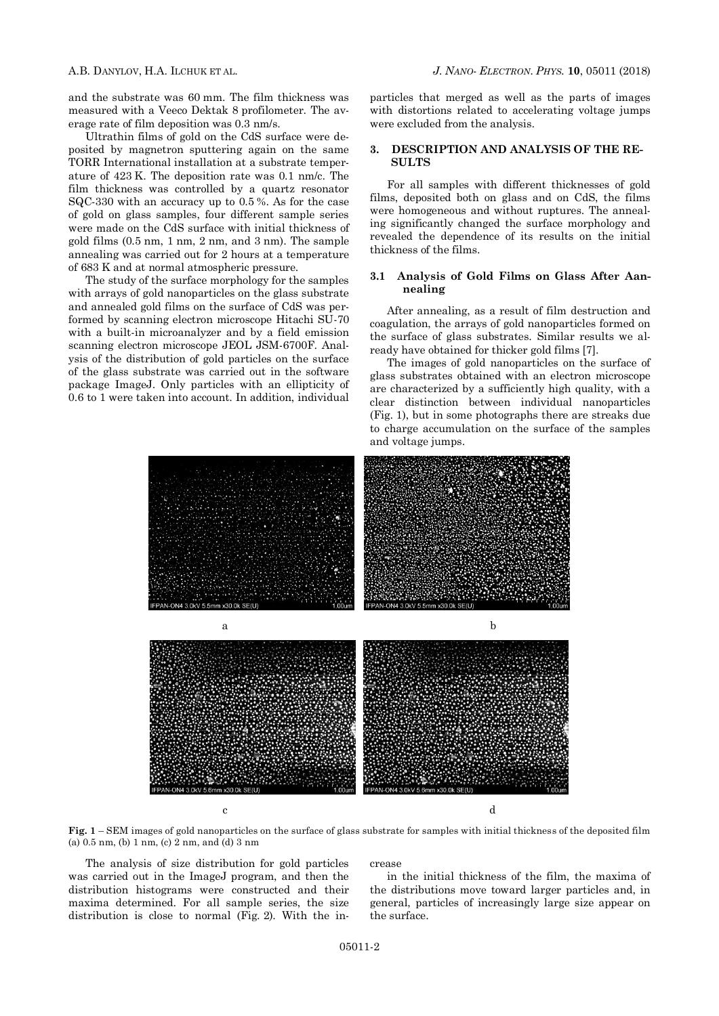and the substrate was 60 mm. The film thickness was measured with a Veeco Dektak 8 profilometer. The average rate of film deposition was 0.3 nm/s.

Ultrathin films of gold on the CdS surface were deposited by magnetron sputtering again on the same TORR International installation at a substrate temperature of 423 K. The deposition rate was 0.1 nm/c. The film thickness was controlled by a quartz resonator SQC-330 with an accuracy up to 0.5 %. As for the case of gold on glass samples, four different sample series were made on the CdS surface with initial thickness of gold films (0.5 nm, 1 nm, 2 nm, and 3 nm). The sample annealing was carried out for 2 hours at a temperature of 683 K and at normal atmospheric pressure.

The study of the surface morphology for the samples with arrays of gold nanoparticles on the glass substrate and annealed gold films on the surface of CdS was performed by scanning electron microscope Hitachi SU-70 with a built-in microanalyzer and by a field emission scanning electron microscope JEOL JSM-6700F. Analysis of the distribution of gold particles on the surface of the glass substrate was carried out in the software package ImageJ. Only particles with an ellipticity of 0.6 to 1 were taken into account. In addition, individual particles that merged as well as the parts of images with distortions related to accelerating voltage jumps were excluded from the analysis.

### **3. DESCRIPTION AND ANALYSIS OF THE RE-SULTS**

For all samples with different thicknesses of gold films, deposited both on glass and on CdS, the films were homogeneous and without ruptures. The annealing significantly changed the surface morphology and revealed the dependence of its results on the initial thickness of the films.

### **3.1 Analysis of Gold Films on Glass After Aannealing**

After annealing, as a result of film destruction and coagulation, the arrays of gold nanoparticles formed on the surface of glass substrates. Similar results we already have obtained for thicker gold films [7].

The images of gold nanoparticles on the surface of glass substrates obtained with an electron microscope are characterized by a sufficiently high quality, with a clear distinction between individual nanoparticles (Fig. 1), but in some photographs there are streaks due to charge accumulation on the surface of the samples and voltage jumps.



**Fig. 1** – SEM images of gold nanoparticles on the surface of glass substrate for samples with initial thickness of the deposited film (a) 0.5 nm, (b) 1 nm, (c) 2 nm, and (d) 3 nm

The analysis of size distribution for gold particles was carried out in the ImageJ program, and then the distribution histograms were constructed and their maxima determined. For all sample series, the size distribution is close to normal (Fig. 2). With the in-

#### crease

in the initial thickness of the film, the maxima of the distributions move toward larger particles and, in general, particles of increasingly large size appear on the surface.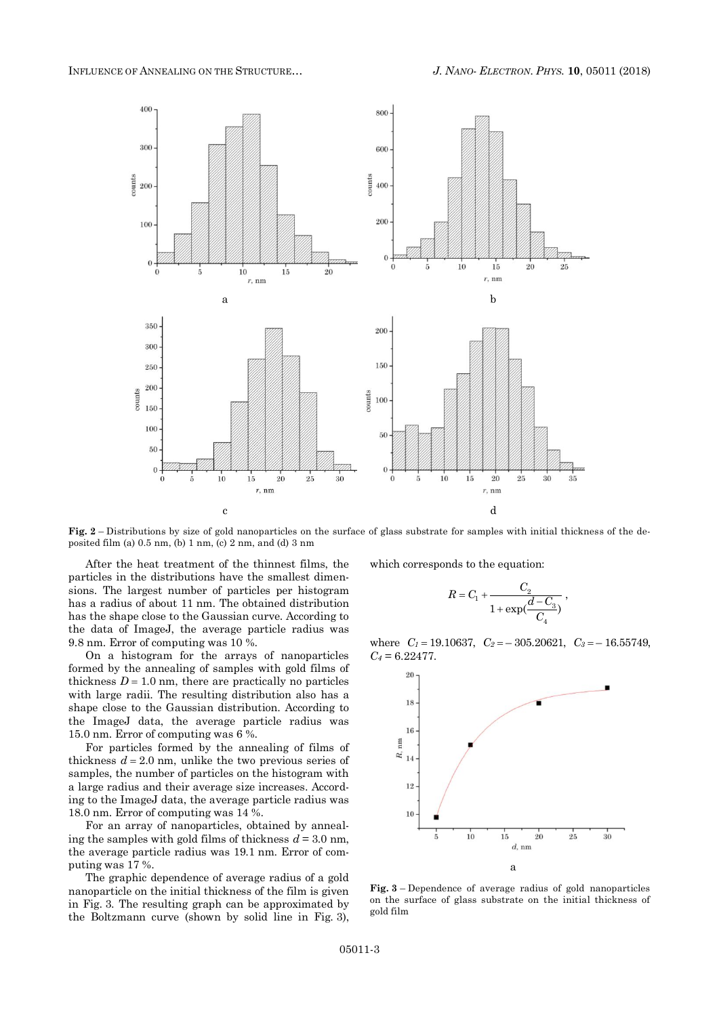

**Fig. 2** – Distributions by size of gold nanoparticles on the surface of glass substrate for samples with initial thickness of the deposited film (a) 0.5 nm, (b) 1 nm, (c) 2 nm, and (d) 3 nm

After the heat treatment of the thinnest films, the particles in the distributions have the smallest dimensions. The largest number of particles per histogram has a radius of about 11 nm. The obtained distribution has the shape close to the Gaussian curve. According to the data of ImageJ, the average particle radius was 9.8 nm. Error of computing was 10 %.

On a histogram for the arrays of nanoparticles formed by the annealing of samples with gold films of thickness  $D = 1.0$  nm, there are practically no particles with large radii. The resulting distribution also has a shape close to the Gaussian distribution. According to the ImageJ data, the average particle radius was 15.0 nm. Error of computing was 6 %.

For particles formed by the annealing of films of thickness  $d = 2.0$  nm, unlike the two previous series of samples, the number of particles on the histogram with a large radius and their average size increases. According to the ImageJ data, the average particle radius was 18.0 nm. Error of computing was 14 %.

For an array of nanoparticles, obtained by annealing the samples with gold films of thickness  $d = 3.0$  nm, the average particle radius was 19.1 nm. Error of computing was 17 %.

The graphic dependence of average radius of a gold nanoparticle on the initial thickness of the film is given in Fig. 3. The resulting graph can be approximated by the Boltzmann curve (shown by solid line in Fig. 3),

which corresponds to the equation:

$$
R = C_1 + \frac{C_2}{1 + \exp(\frac{d - C_3}{C_4})}
$$

,

where  $C_1 = 19.10637$ ,  $C_2 = -305.20621$ ,  $C_3 = -16.55749$ , *C<sup>4</sup>* = 6.22477.



**Fig. 3** – Dependence of average radius of gold nanoparticles on the surface of glass substrate on the initial thickness of gold film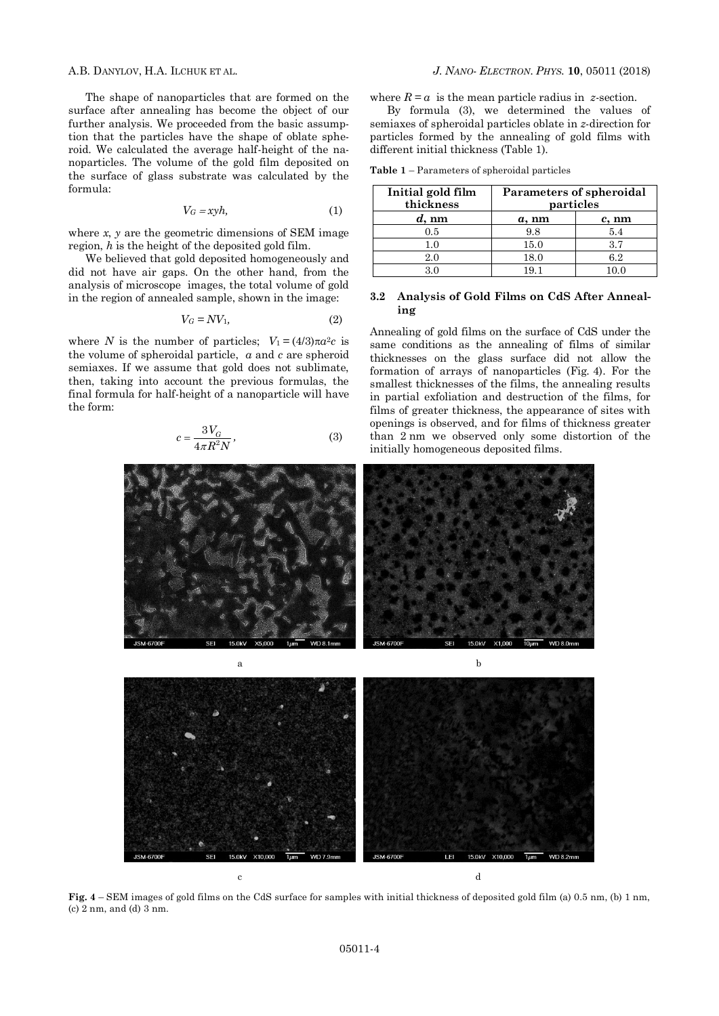The shape of nanoparticles that are formed on the surface after annealing has become the object of our further analysis. We proceeded from the basic assumption that the particles have the shape of oblate spheroid. We calculated the average half-height of the nanoparticles. The volume of the gold film deposited on the surface of glass substrate was calculated by the formula:

$$
V_G = xyh,\t\t(1)
$$

where *x*, *y* are the geometric dimensions of SEM image region, *h* is the height of the deposited gold film.

We believed that gold deposited homogeneously and did not have air gaps. On the other hand, from the analysis of microscope images, the total volume of gold in the region of annealed sample, shown in the image:

$$
V_G = NV_1,\tag{2}
$$

where *N* is the number of particles;  $V_1 = (4/3)\pi a^2 c$  is the volume of spheroidal particle, *a* and *c* are spheroid semiaxes. If we assume that gold does not sublimate, then, taking into account the previous formulas, the final formula for half-height of a nanoparticle will have the form:

$$
c = \frac{3V_G}{4\pi R^2 N},\tag{3}
$$

where  $R = a$  is the mean particle radius in *z*-section.

By formula (3), we determined the values of semiaxes of spheroidal particles oblate in *z*-direction for particles formed by the annealing of gold films with different initial thickness (Table 1).

| <b>Table 1</b> – Parameters of spheroidal particles |  |  |
|-----------------------------------------------------|--|--|
|-----------------------------------------------------|--|--|

| Initial gold film<br>thickness | Parameters of spheroidal<br>particles |          |
|--------------------------------|---------------------------------------|----------|
| $d$ , nm                       | $a$ , nm                              | $c$ , nm |
| 0.5                            | 9.8                                   | 5.4      |
| 10                             | 15.0                                  | 37       |
| $2.0\,$                        | 18.0                                  | 62       |
|                                | 191                                   |          |

## **3.2 Analysis of Gold Films on CdS After Annealing**

Annealing of gold films on the surface of CdS under the same conditions as the annealing of films of similar thicknesses on the glass surface did not allow the formation of arrays of nanoparticles (Fig. 4). For the smallest thicknesses of the films, the annealing results in partial exfoliation and destruction of the films, for films of greater thickness, the appearance of sites with openings is observed, and for films of thickness greater than 2 nm we observed only some distortion of the initially homogeneous deposited films.





**Fig. 4** – SEM images of gold films on the CdS surface for samples with initial thickness of deposited gold film (a) 0.5 nm, (b) 1 nm, (c) 2 nm, and (d) 3 nm.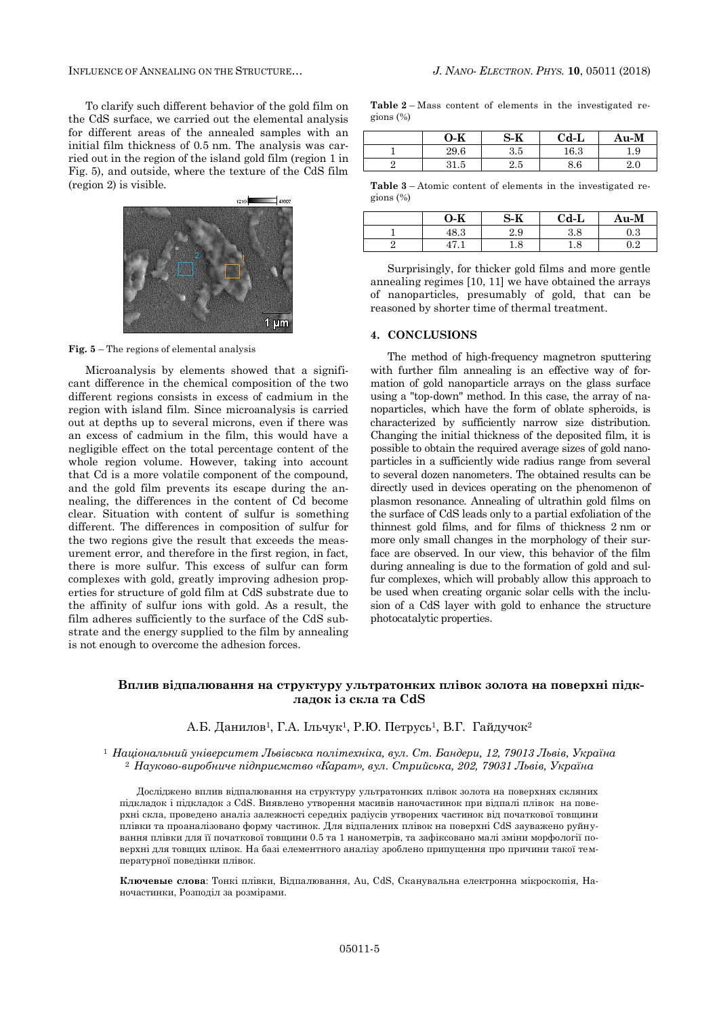To clarify such different behavior of the gold film on the CdS surface, we carried out the elemental analysis for different areas of the annealed samples with an initial film thickness of 0.5 nm. The analysis was carried out in the region of the island gold film (region 1 in Fig. 5), and outside, where the texture of the CdS film (region 2) is visible.



**Fig. 5** – The regions of elemental analysis

Microanalysis by elements showed that a significant difference in the chemical composition of the two different regions consists in excess of cadmium in the region with island film. Since microanalysis is carried out at depths up to several microns, even if there was an excess of cadmium in the film, this would have a negligible effect on the total percentage content of the whole region volume. However, taking into account that Cd is a more volatile component of the compound, and the gold film prevents its escape during the annealing, the differences in the content of Cd become clear. Situation with content of sulfur is something different. The differences in composition of sulfur for the two regions give the result that exceeds the measurement error, and therefore in the first region, in fact, there is more sulfur. This excess of sulfur can form complexes with gold, greatly improving adhesion properties for structure of gold film at CdS substrate due to the affinity of sulfur ions with gold. As a result, the film adheres sufficiently to the surface of the CdS substrate and the energy supplied to the film by annealing is not enough to overcome the adhesion forces.

**Table 2** – Mass content of elements in the investigated regions (%)

| 0-K  | S-K      | $Cd-L$   | $Au-M$    |
|------|----------|----------|-----------|
| 29.6 | 3.5      | $16.3\,$ | Q<br>1. U |
| ⊥.u  | $^{2.5}$ | 8.6      |           |

**Table 3** – Atomic content of elements in the investigated regions (%)

| 0-K  | S-K      | $Cd-L$   | Au-M           |
|------|----------|----------|----------------|
| 48.3 | 2.9      | $^{3.8}$ | ാ<br>$\rm 0.3$ |
|      | $^{1.8}$ | $^{1.8}$ | റാ             |

Surprisingly, for thicker gold films and more gentle annealing regimes [10, 11] we have obtained the arrays of nanoparticles, presumably of gold, that can be reasoned by shorter time of thermal treatment.

### **4. CONCLUSIONS**

The method of high-frequency magnetron sputtering with further film annealing is an effective way of formation of gold nanoparticle arrays on the glass surface using a "top-down" method. In this case, the array of nanoparticles, which have the form of oblate spheroids, is characterized by sufficiently narrow size distribution. Changing the initial thickness of the deposited film, it is possible to obtain the required average sizes of gold nanoparticles in a sufficiently wide radius range from several to several dozen nanometers. The obtained results can be directly used in devices operating on the phenomenon of plasmon resonance. Annealing of ultrathin gold films on the surface of CdS leads only to a partial exfoliation of the thinnest gold films, and for films of thickness 2 nm or more only small changes in the morphology of their surface are observed. In our view, this behavior of the film during annealing is due to the formation of gold and sulfur complexes, which will probably allow this approach to be used when creating organic solar cells with the inclusion of a CdS layer with gold to enhance the structure photocatalytic properties.

# **Вплив відпалювання на структуру ультратонких плівок золота на поверхні підкладок із скла та CdS**

### А.Б. Данилов<sup>1</sup>, Г.А. Ільчук<sup>1</sup>, Р.Ю. Петрусь<sup>1</sup>, В.Г. Гайдучок<sup>2</sup>

<sup>1</sup> *Національний університет Львівська політехніка, вул. Ст. Бандери, 12, 79013 Львів, Україна* <sup>2</sup> *Науково-виробниче підприємство «Карат», вул. Стрийська, 202, 79031 Львів, Україна*

Досліджено вплив відпалювання на структуру ультратонких плівок золота на поверхнях скляних підкладок і підкладок з CdS. Виявлено утворення масивів наночастинок при відпалі плівок на поверхні скла, проведено аналіз залежності середніх радіусів утворених частинок від початкової товщини плівки та проаналізовано форму частинок. Для відпалених плівок на поверхні CdS зауважено руйнування плівки для її початкової товщини 0.5 та 1 нанометрів, та зафіксовано малі зміни морфології поверхні для товщих плівок. На базі елементного аналізу зроблено припущення про причини такої температурної поведінки плівок.

**Ключевые слова**: Тонкі плівки, Відпалювання, Au, CdS, Сканувальна електронна мікроскопія, Наночастинки, Розподіл за розмірами.